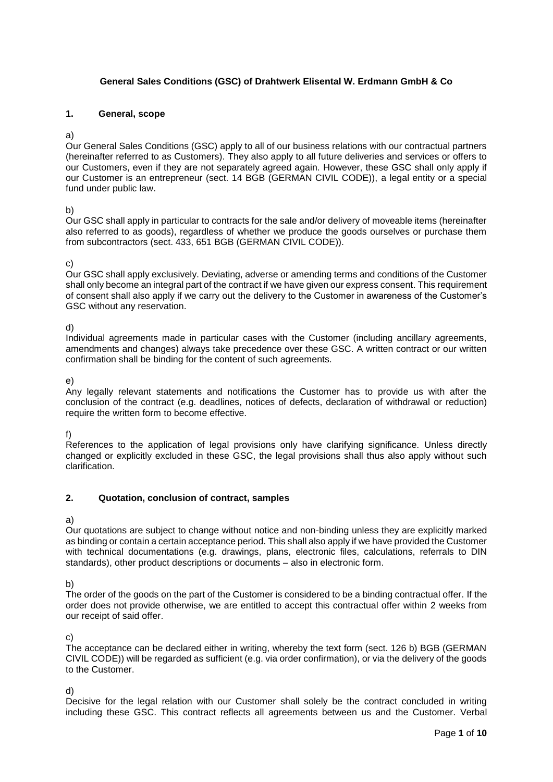## **General Sales Conditions (GSC) of Drahtwerk Elisental W. Erdmann GmbH & Co**

## **1. General, scope**

#### a)

Our General Sales Conditions (GSC) apply to all of our business relations with our contractual partners (hereinafter referred to as Customers). They also apply to all future deliveries and services or offers to our Customers, even if they are not separately agreed again. However, these GSC shall only apply if our Customer is an entrepreneur (sect. 14 BGB (GERMAN CIVIL CODE)), a legal entity or a special fund under public law.

## b)

Our GSC shall apply in particular to contracts for the sale and/or delivery of moveable items (hereinafter also referred to as goods), regardless of whether we produce the goods ourselves or purchase them from subcontractors (sect. 433, 651 BGB (GERMAN CIVIL CODE)).

## c)

Our GSC shall apply exclusively. Deviating, adverse or amending terms and conditions of the Customer shall only become an integral part of the contract if we have given our express consent. This requirement of consent shall also apply if we carry out the delivery to the Customer in awareness of the Customer's GSC without any reservation.

d)

Individual agreements made in particular cases with the Customer (including ancillary agreements, amendments and changes) always take precedence over these GSC. A written contract or our written confirmation shall be binding for the content of such agreements.

e)

Any legally relevant statements and notifications the Customer has to provide us with after the conclusion of the contract (e.g. deadlines, notices of defects, declaration of withdrawal or reduction) require the written form to become effective.

f)

References to the application of legal provisions only have clarifying significance. Unless directly changed or explicitly excluded in these GSC, the legal provisions shall thus also apply without such clarification.

## **2. Quotation, conclusion of contract, samples**

## a)

Our quotations are subject to change without notice and non-binding unless they are explicitly marked as binding or contain a certain acceptance period. This shall also apply if we have provided the Customer with technical documentations (e.g. drawings, plans, electronic files, calculations, referrals to DIN standards), other product descriptions or documents – also in electronic form.

b)

The order of the goods on the part of the Customer is considered to be a binding contractual offer. If the order does not provide otherwise, we are entitled to accept this contractual offer within 2 weeks from our receipt of said offer.

c)

The acceptance can be declared either in writing, whereby the text form (sect. 126 b) BGB (GERMAN CIVIL CODE)) will be regarded as sufficient (e.g. via order confirmation), or via the delivery of the goods to the Customer.

d)

Decisive for the legal relation with our Customer shall solely be the contract concluded in writing including these GSC. This contract reflects all agreements between us and the Customer. Verbal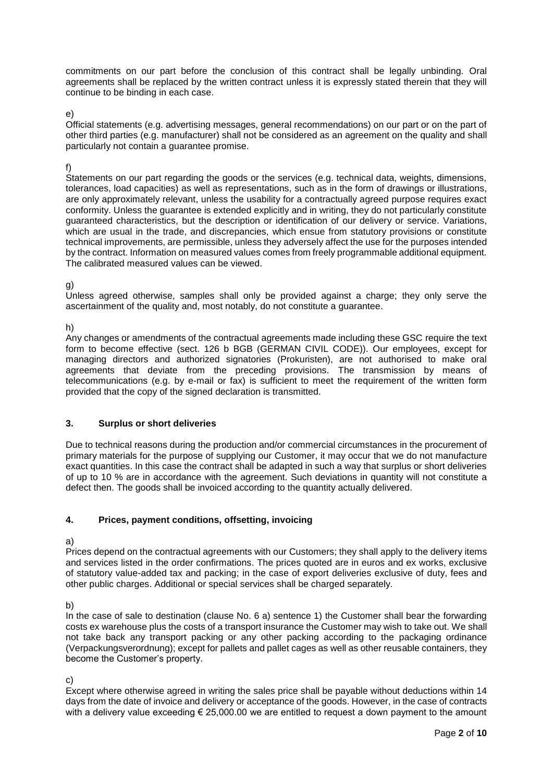commitments on our part before the conclusion of this contract shall be legally unbinding. Oral agreements shall be replaced by the written contract unless it is expressly stated therein that they will continue to be binding in each case.

e)

Official statements (e.g. advertising messages, general recommendations) on our part or on the part of other third parties (e.g. manufacturer) shall not be considered as an agreement on the quality and shall particularly not contain a guarantee promise.

## f)

Statements on our part regarding the goods or the services (e.g. technical data, weights, dimensions, tolerances, load capacities) as well as representations, such as in the form of drawings or illustrations, are only approximately relevant, unless the usability for a contractually agreed purpose requires exact conformity. Unless the guarantee is extended explicitly and in writing, they do not particularly constitute guaranteed characteristics, but the description or identification of our delivery or service. Variations, which are usual in the trade, and discrepancies, which ensue from statutory provisions or constitute technical improvements, are permissible, unless they adversely affect the use for the purposes intended by the contract. Information on measured values comes from freely programmable additional equipment. The calibrated measured values can be viewed.

g)

Unless agreed otherwise, samples shall only be provided against a charge; they only serve the ascertainment of the quality and, most notably, do not constitute a guarantee.

h)

Any changes or amendments of the contractual agreements made including these GSC require the text form to become effective (sect. 126 b BGB (GERMAN CIVIL CODE)). Our employees, except for managing directors and authorized signatories (Prokuristen), are not authorised to make oral agreements that deviate from the preceding provisions. The transmission by means of telecommunications (e.g. by e-mail or fax) is sufficient to meet the requirement of the written form provided that the copy of the signed declaration is transmitted.

## **3. Surplus or short deliveries**

Due to technical reasons during the production and/or commercial circumstances in the procurement of primary materials for the purpose of supplying our Customer, it may occur that we do not manufacture exact quantities. In this case the contract shall be adapted in such a way that surplus or short deliveries of up to 10 % are in accordance with the agreement. Such deviations in quantity will not constitute a defect then. The goods shall be invoiced according to the quantity actually delivered.

# **4. Prices, payment conditions, offsetting, invoicing**

a)

Prices depend on the contractual agreements with our Customers; they shall apply to the delivery items and services listed in the order confirmations. The prices quoted are in euros and ex works, exclusive of statutory value-added tax and packing; in the case of export deliveries exclusive of duty, fees and other public charges. Additional or special services shall be charged separately.

b)

In the case of sale to destination (clause No. 6 a) sentence 1) the Customer shall bear the forwarding costs ex warehouse plus the costs of a transport insurance the Customer may wish to take out. We shall not take back any transport packing or any other packing according to the packaging ordinance (Verpackungsverordnung); except for pallets and pallet cages as well as other reusable containers, they become the Customer's property.

c)

Except where otherwise agreed in writing the sales price shall be payable without deductions within 14 days from the date of invoice and delivery or acceptance of the goods. However, in the case of contracts with a delivery value exceeding € 25,000.00 we are entitled to request a down payment to the amount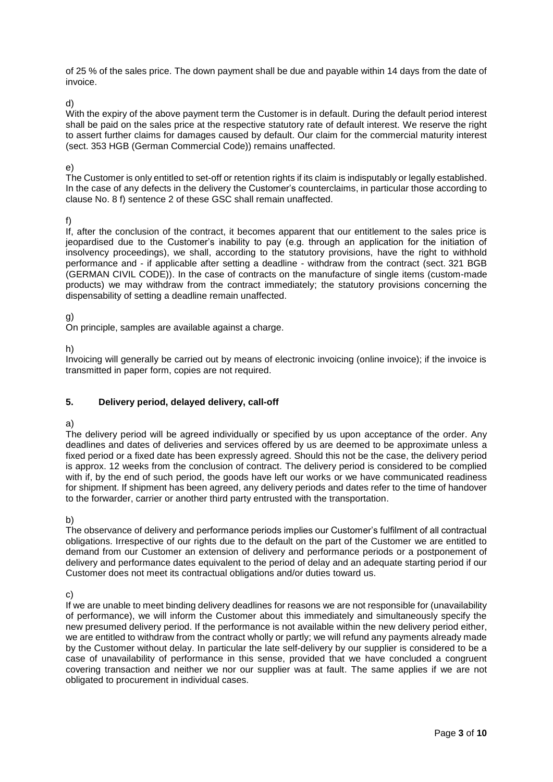of 25 % of the sales price. The down payment shall be due and payable within 14 days from the date of invoice.

d)

With the expiry of the above payment term the Customer is in default. During the default period interest shall be paid on the sales price at the respective statutory rate of default interest. We reserve the right to assert further claims for damages caused by default. Our claim for the commercial maturity interest (sect. 353 HGB (German Commercial Code)) remains unaffected.

## e)

The Customer is only entitled to set-off or retention rights if its claim is indisputably or legally established. In the case of any defects in the delivery the Customer's counterclaims, in particular those according to clause No. 8 f) sentence 2 of these GSC shall remain unaffected.

f)

If, after the conclusion of the contract, it becomes apparent that our entitlement to the sales price is jeopardised due to the Customer's inability to pay (e.g. through an application for the initiation of insolvency proceedings), we shall, according to the statutory provisions, have the right to withhold performance and - if applicable after setting a deadline - withdraw from the contract (sect. 321 BGB (GERMAN CIVIL CODE)). In the case of contracts on the manufacture of single items (custom-made products) we may withdraw from the contract immediately; the statutory provisions concerning the dispensability of setting a deadline remain unaffected.

# g)

On principle, samples are available against a charge.

h)

Invoicing will generally be carried out by means of electronic invoicing (online invoice); if the invoice is transmitted in paper form, copies are not required.

# **5. Delivery period, delayed delivery, call-off**

# a)

The delivery period will be agreed individually or specified by us upon acceptance of the order. Any deadlines and dates of deliveries and services offered by us are deemed to be approximate unless a fixed period or a fixed date has been expressly agreed. Should this not be the case, the delivery period is approx. 12 weeks from the conclusion of contract. The delivery period is considered to be complied with if, by the end of such period, the goods have left our works or we have communicated readiness for shipment. If shipment has been agreed, any delivery periods and dates refer to the time of handover to the forwarder, carrier or another third party entrusted with the transportation.

b)

The observance of delivery and performance periods implies our Customer's fulfilment of all contractual obligations. Irrespective of our rights due to the default on the part of the Customer we are entitled to demand from our Customer an extension of delivery and performance periods or a postponement of delivery and performance dates equivalent to the period of delay and an adequate starting period if our Customer does not meet its contractual obligations and/or duties toward us.

c)

If we are unable to meet binding delivery deadlines for reasons we are not responsible for (unavailability of performance), we will inform the Customer about this immediately and simultaneously specify the new presumed delivery period. If the performance is not available within the new delivery period either, we are entitled to withdraw from the contract wholly or partly; we will refund any payments already made by the Customer without delay. In particular the late self-delivery by our supplier is considered to be a case of unavailability of performance in this sense, provided that we have concluded a congruent covering transaction and neither we nor our supplier was at fault. The same applies if we are not obligated to procurement in individual cases.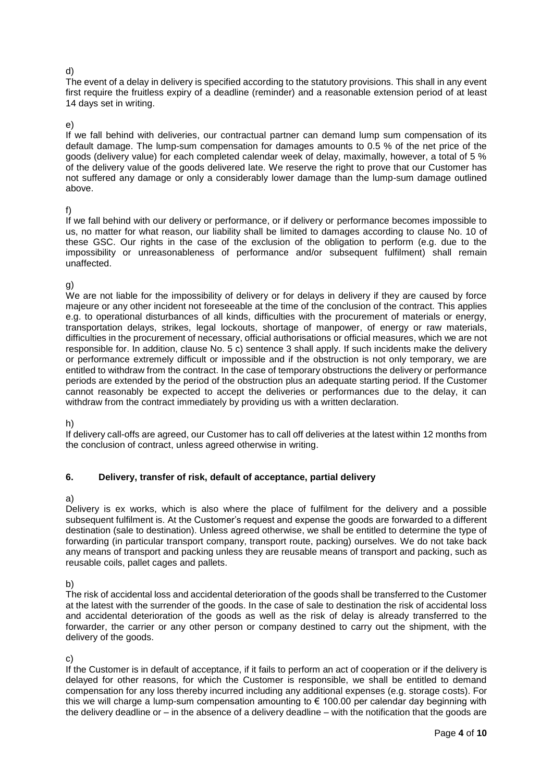#### d)

The event of a delay in delivery is specified according to the statutory provisions. This shall in any event first require the fruitless expiry of a deadline (reminder) and a reasonable extension period of at least 14 days set in writing.

#### e)

If we fall behind with deliveries, our contractual partner can demand lump sum compensation of its default damage. The lump-sum compensation for damages amounts to 0.5 % of the net price of the goods (delivery value) for each completed calendar week of delay, maximally, however, a total of 5 % of the delivery value of the goods delivered late. We reserve the right to prove that our Customer has not suffered any damage or only a considerably lower damage than the lump-sum damage outlined above.

#### f)

If we fall behind with our delivery or performance, or if delivery or performance becomes impossible to us, no matter for what reason, our liability shall be limited to damages according to clause No. 10 of these GSC. Our rights in the case of the exclusion of the obligation to perform (e.g. due to the impossibility or unreasonableness of performance and/or subsequent fulfilment) shall remain unaffected.

## g)

We are not liable for the impossibility of delivery or for delays in delivery if they are caused by force majeure or any other incident not foreseeable at the time of the conclusion of the contract. This applies e.g. to operational disturbances of all kinds, difficulties with the procurement of materials or energy, transportation delays, strikes, legal lockouts, shortage of manpower, of energy or raw materials, difficulties in the procurement of necessary, official authorisations or official measures, which we are not responsible for. In addition, clause No. 5 c) sentence 3 shall apply. If such incidents make the delivery or performance extremely difficult or impossible and if the obstruction is not only temporary, we are entitled to withdraw from the contract. In the case of temporary obstructions the delivery or performance periods are extended by the period of the obstruction plus an adequate starting period. If the Customer cannot reasonably be expected to accept the deliveries or performances due to the delay, it can withdraw from the contract immediately by providing us with a written declaration.

## h)

If delivery call-offs are agreed, our Customer has to call off deliveries at the latest within 12 months from the conclusion of contract, unless agreed otherwise in writing.

## **6. Delivery, transfer of risk, default of acceptance, partial delivery**

## a)

Delivery is ex works, which is also where the place of fulfilment for the delivery and a possible subsequent fulfilment is. At the Customer's request and expense the goods are forwarded to a different destination (sale to destination). Unless agreed otherwise, we shall be entitled to determine the type of forwarding (in particular transport company, transport route, packing) ourselves. We do not take back any means of transport and packing unless they are reusable means of transport and packing, such as reusable coils, pallet cages and pallets.

b)

The risk of accidental loss and accidental deterioration of the goods shall be transferred to the Customer at the latest with the surrender of the goods. In the case of sale to destination the risk of accidental loss and accidental deterioration of the goods as well as the risk of delay is already transferred to the forwarder, the carrier or any other person or company destined to carry out the shipment, with the delivery of the goods.

c)

If the Customer is in default of acceptance, if it fails to perform an act of cooperation or if the delivery is delayed for other reasons, for which the Customer is responsible, we shall be entitled to demand compensation for any loss thereby incurred including any additional expenses (e.g. storage costs). For this we will charge a lump-sum compensation amounting to  $\epsilon$  100.00 per calendar day beginning with the delivery deadline or – in the absence of a delivery deadline – with the notification that the goods are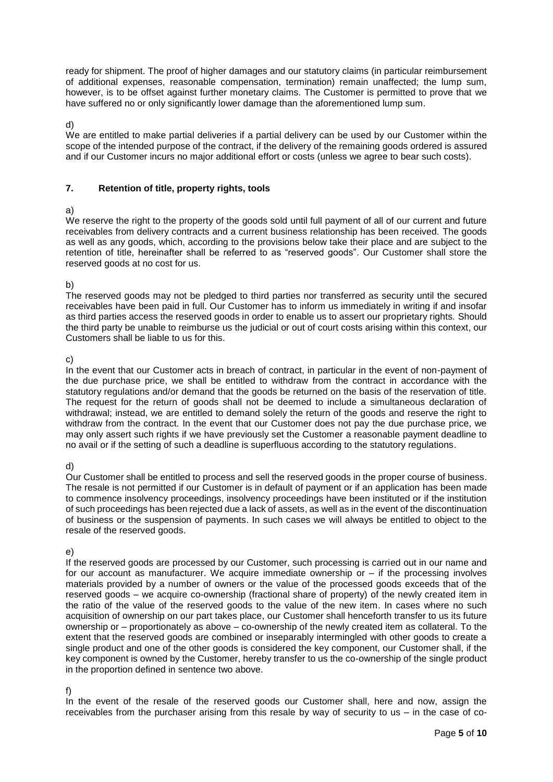ready for shipment. The proof of higher damages and our statutory claims (in particular reimbursement of additional expenses, reasonable compensation, termination) remain unaffected; the lump sum, however, is to be offset against further monetary claims. The Customer is permitted to prove that we have suffered no or only significantly lower damage than the aforementioned lump sum.

#### d)

We are entitled to make partial deliveries if a partial delivery can be used by our Customer within the scope of the intended purpose of the contract, if the delivery of the remaining goods ordered is assured and if our Customer incurs no major additional effort or costs (unless we agree to bear such costs).

## **7. Retention of title, property rights, tools**

## a)

We reserve the right to the property of the goods sold until full payment of all of our current and future receivables from delivery contracts and a current business relationship has been received. The goods as well as any goods, which, according to the provisions below take their place and are subject to the retention of title, hereinafter shall be referred to as "reserved goods". Our Customer shall store the reserved goods at no cost for us.

## b)

The reserved goods may not be pledged to third parties nor transferred as security until the secured receivables have been paid in full. Our Customer has to inform us immediately in writing if and insofar as third parties access the reserved goods in order to enable us to assert our proprietary rights. Should the third party be unable to reimburse us the judicial or out of court costs arising within this context, our Customers shall be liable to us for this.

## c)

In the event that our Customer acts in breach of contract, in particular in the event of non-payment of the due purchase price, we shall be entitled to withdraw from the contract in accordance with the statutory regulations and/or demand that the goods be returned on the basis of the reservation of title. The request for the return of goods shall not be deemed to include a simultaneous declaration of withdrawal; instead, we are entitled to demand solely the return of the goods and reserve the right to withdraw from the contract. In the event that our Customer does not pay the due purchase price, we may only assert such rights if we have previously set the Customer a reasonable payment deadline to no avail or if the setting of such a deadline is superfluous according to the statutory regulations.

## d)

Our Customer shall be entitled to process and sell the reserved goods in the proper course of business. The resale is not permitted if our Customer is in default of payment or if an application has been made to commence insolvency proceedings, insolvency proceedings have been instituted or if the institution of such proceedings has been rejected due a lack of assets, as well as in the event of the discontinuation of business or the suspension of payments. In such cases we will always be entitled to object to the resale of the reserved goods.

## e)

If the reserved goods are processed by our Customer, such processing is carried out in our name and for our account as manufacturer. We acquire immediate ownership or – if the processing involves materials provided by a number of owners or the value of the processed goods exceeds that of the reserved goods – we acquire co-ownership (fractional share of property) of the newly created item in the ratio of the value of the reserved goods to the value of the new item. In cases where no such acquisition of ownership on our part takes place, our Customer shall henceforth transfer to us its future ownership or – proportionately as above – co-ownership of the newly created item as collateral. To the extent that the reserved goods are combined or inseparably intermingled with other goods to create a single product and one of the other goods is considered the key component, our Customer shall, if the key component is owned by the Customer, hereby transfer to us the co-ownership of the single product in the proportion defined in sentence two above.

## f)

In the event of the resale of the reserved goods our Customer shall, here and now, assign the receivables from the purchaser arising from this resale by way of security to us – in the case of co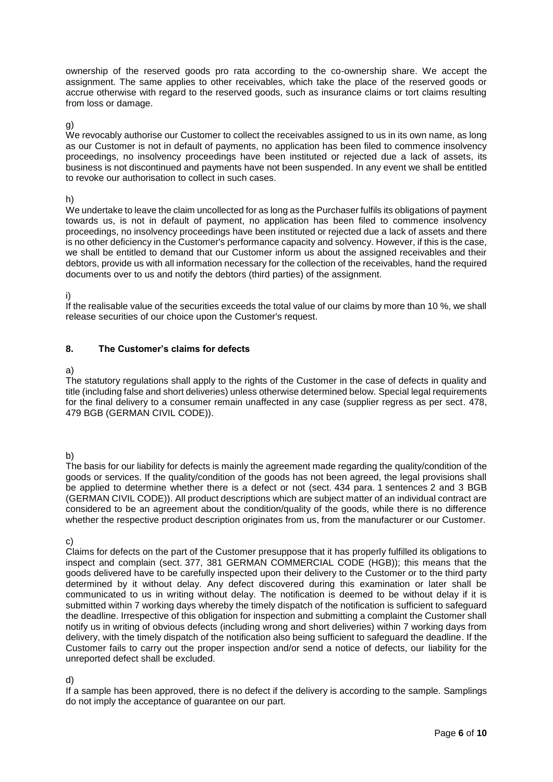ownership of the reserved goods pro rata according to the co-ownership share. We accept the assignment. The same applies to other receivables, which take the place of the reserved goods or accrue otherwise with regard to the reserved goods, such as insurance claims or tort claims resulting from loss or damage.

#### g)

We revocably authorise our Customer to collect the receivables assigned to us in its own name, as long as our Customer is not in default of payments, no application has been filed to commence insolvency proceedings, no insolvency proceedings have been instituted or rejected due a lack of assets, its business is not discontinued and payments have not been suspended. In any event we shall be entitled to revoke our authorisation to collect in such cases.

#### h)

We undertake to leave the claim uncollected for as long as the Purchaser fulfils its obligations of payment towards us, is not in default of payment, no application has been filed to commence insolvency proceedings, no insolvency proceedings have been instituted or rejected due a lack of assets and there is no other deficiency in the Customer's performance capacity and solvency. However, if this is the case, we shall be entitled to demand that our Customer inform us about the assigned receivables and their debtors, provide us with all information necessary for the collection of the receivables, hand the required documents over to us and notify the debtors (third parties) of the assignment.

i)

If the realisable value of the securities exceeds the total value of our claims by more than 10 %, we shall release securities of our choice upon the Customer's request.

## **8. The Customer's claims for defects**

#### a)

The statutory regulations shall apply to the rights of the Customer in the case of defects in quality and title (including false and short deliveries) unless otherwise determined below. Special legal requirements for the final delivery to a consumer remain unaffected in any case (supplier regress as per sect. 478, 479 BGB (GERMAN CIVIL CODE)).

b)

The basis for our liability for defects is mainly the agreement made regarding the quality/condition of the goods or services. If the quality/condition of the goods has not been agreed, the legal provisions shall be applied to determine whether there is a defect or not (sect. 434 para. 1 sentences 2 and 3 BGB (GERMAN CIVIL CODE)). All product descriptions which are subject matter of an individual contract are considered to be an agreement about the condition/quality of the goods, while there is no difference whether the respective product description originates from us, from the manufacturer or our Customer.

c)

Claims for defects on the part of the Customer presuppose that it has properly fulfilled its obligations to inspect and complain (sect. 377, 381 GERMAN COMMERCIAL CODE (HGB)); this means that the goods delivered have to be carefully inspected upon their delivery to the Customer or to the third party determined by it without delay. Any defect discovered during this examination or later shall be communicated to us in writing without delay. The notification is deemed to be without delay if it is submitted within 7 working days whereby the timely dispatch of the notification is sufficient to safequard the deadline. Irrespective of this obligation for inspection and submitting a complaint the Customer shall notify us in writing of obvious defects (including wrong and short deliveries) within 7 working days from delivery, with the timely dispatch of the notification also being sufficient to safeguard the deadline. If the Customer fails to carry out the proper inspection and/or send a notice of defects, our liability for the unreported defect shall be excluded.

## d)

If a sample has been approved, there is no defect if the delivery is according to the sample. Samplings do not imply the acceptance of guarantee on our part.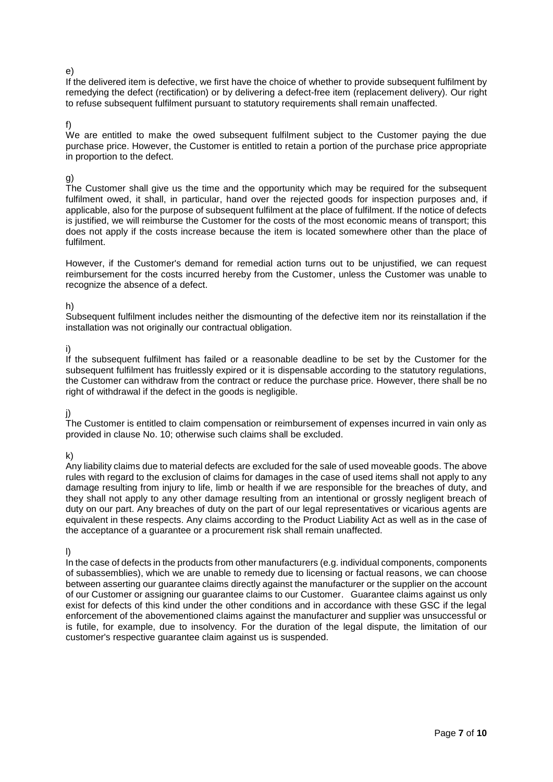#### e)

If the delivered item is defective, we first have the choice of whether to provide subsequent fulfilment by remedying the defect (rectification) or by delivering a defect-free item (replacement delivery). Our right to refuse subsequent fulfilment pursuant to statutory requirements shall remain unaffected.

#### f)

We are entitled to make the owed subsequent fulfilment subject to the Customer paying the due purchase price. However, the Customer is entitled to retain a portion of the purchase price appropriate in proportion to the defect.

## g)

The Customer shall give us the time and the opportunity which may be required for the subsequent fulfilment owed, it shall, in particular, hand over the rejected goods for inspection purposes and, if applicable, also for the purpose of subsequent fulfilment at the place of fulfilment. If the notice of defects is justified, we will reimburse the Customer for the costs of the most economic means of transport; this does not apply if the costs increase because the item is located somewhere other than the place of fulfilment.

However, if the Customer's demand for remedial action turns out to be unjustified, we can request reimbursement for the costs incurred hereby from the Customer, unless the Customer was unable to recognize the absence of a defect.

## h)

Subsequent fulfilment includes neither the dismounting of the defective item nor its reinstallation if the installation was not originally our contractual obligation.

## i)

If the subsequent fulfilment has failed or a reasonable deadline to be set by the Customer for the subsequent fulfilment has fruitlessly expired or it is dispensable according to the statutory regulations, the Customer can withdraw from the contract or reduce the purchase price. However, there shall be no right of withdrawal if the defect in the goods is negligible.

## j)

The Customer is entitled to claim compensation or reimbursement of expenses incurred in vain only as provided in clause No. 10; otherwise such claims shall be excluded.

k)

Any liability claims due to material defects are excluded for the sale of used moveable goods. The above rules with regard to the exclusion of claims for damages in the case of used items shall not apply to any damage resulting from injury to life, limb or health if we are responsible for the breaches of duty, and they shall not apply to any other damage resulting from an intentional or grossly negligent breach of duty on our part. Any breaches of duty on the part of our legal representatives or vicarious agents are equivalent in these respects. Any claims according to the Product Liability Act as well as in the case of the acceptance of a guarantee or a procurement risk shall remain unaffected.

l)

In the case of defects in the products from other manufacturers (e.g. individual components, components of subassemblies), which we are unable to remedy due to licensing or factual reasons, we can choose between asserting our guarantee claims directly against the manufacturer or the supplier on the account of our Customer or assigning our guarantee claims to our Customer. Guarantee claims against us only exist for defects of this kind under the other conditions and in accordance with these GSC if the legal enforcement of the abovementioned claims against the manufacturer and supplier was unsuccessful or is futile, for example, due to insolvency. For the duration of the legal dispute, the limitation of our customer's respective guarantee claim against us is suspended.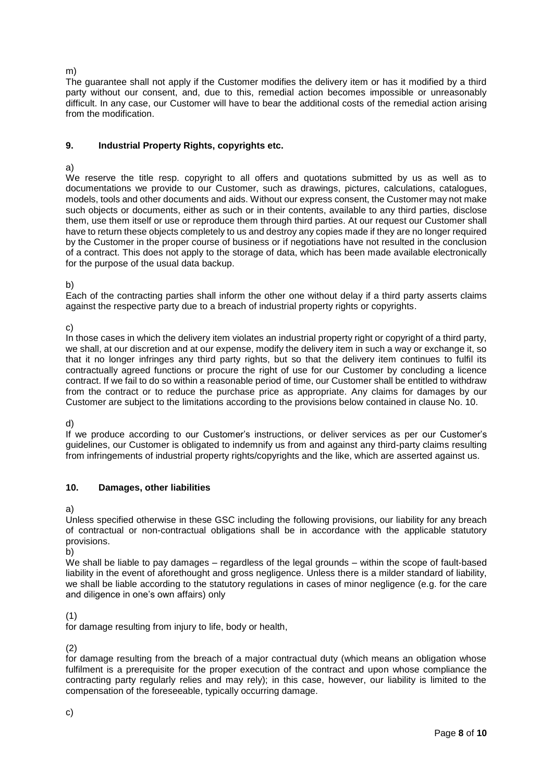#### m)

The guarantee shall not apply if the Customer modifies the delivery item or has it modified by a third party without our consent, and, due to this, remedial action becomes impossible or unreasonably difficult. In any case, our Customer will have to bear the additional costs of the remedial action arising from the modification.

## **9. Industrial Property Rights, copyrights etc.**

#### a)

We reserve the title resp. copyright to all offers and quotations submitted by us as well as to documentations we provide to our Customer, such as drawings, pictures, calculations, catalogues, models, tools and other documents and aids. Without our express consent, the Customer may not make such objects or documents, either as such or in their contents, available to any third parties, disclose them, use them itself or use or reproduce them through third parties. At our request our Customer shall have to return these objects completely to us and destroy any copies made if they are no longer required by the Customer in the proper course of business or if negotiations have not resulted in the conclusion of a contract. This does not apply to the storage of data, which has been made available electronically for the purpose of the usual data backup.

b)

Each of the contracting parties shall inform the other one without delay if a third party asserts claims against the respective party due to a breach of industrial property rights or copyrights.

c)

In those cases in which the delivery item violates an industrial property right or copyright of a third party, we shall, at our discretion and at our expense, modify the delivery item in such a way or exchange it, so that it no longer infringes any third party rights, but so that the delivery item continues to fulfil its contractually agreed functions or procure the right of use for our Customer by concluding a licence contract. If we fail to do so within a reasonable period of time, our Customer shall be entitled to withdraw from the contract or to reduce the purchase price as appropriate. Any claims for damages by our Customer are subject to the limitations according to the provisions below contained in clause No. 10.

d)

If we produce according to our Customer's instructions, or deliver services as per our Customer's guidelines, our Customer is obligated to indemnify us from and against any third-party claims resulting from infringements of industrial property rights/copyrights and the like, which are asserted against us.

## **10. Damages, other liabilities**

a)

Unless specified otherwise in these GSC including the following provisions, our liability for any breach of contractual or non-contractual obligations shall be in accordance with the applicable statutory provisions.

b)

We shall be liable to pay damages – regardless of the legal grounds – within the scope of fault-based liability in the event of aforethought and gross negligence. Unless there is a milder standard of liability, we shall be liable according to the statutory regulations in cases of minor negligence (e.g. for the care and diligence in one's own affairs) only

(1)

for damage resulting from injury to life, body or health,

(2)

for damage resulting from the breach of a major contractual duty (which means an obligation whose fulfilment is a prerequisite for the proper execution of the contract and upon whose compliance the contracting party regularly relies and may rely); in this case, however, our liability is limited to the compensation of the foreseeable, typically occurring damage.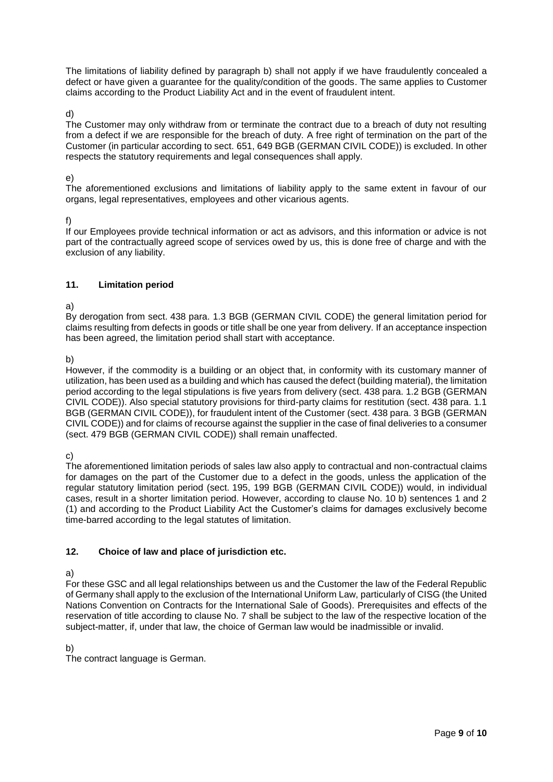The limitations of liability defined by paragraph b) shall not apply if we have fraudulently concealed a defect or have given a guarantee for the quality/condition of the goods. The same applies to Customer claims according to the Product Liability Act and in the event of fraudulent intent.

d)

The Customer may only withdraw from or terminate the contract due to a breach of duty not resulting from a defect if we are responsible for the breach of duty. A free right of termination on the part of the Customer (in particular according to sect. 651, 649 BGB (GERMAN CIVIL CODE)) is excluded. In other respects the statutory requirements and legal consequences shall apply.

#### e)

The aforementioned exclusions and limitations of liability apply to the same extent in favour of our organs, legal representatives, employees and other vicarious agents.

f)

If our Employees provide technical information or act as advisors, and this information or advice is not part of the contractually agreed scope of services owed by us, this is done free of charge and with the exclusion of any liability.

## **11. Limitation period**

a)

By derogation from sect. 438 para. 1.3 BGB (GERMAN CIVIL CODE) the general limitation period for claims resulting from defects in goods or title shall be one year from delivery. If an acceptance inspection has been agreed, the limitation period shall start with acceptance.

b)

However, if the commodity is a building or an object that, in conformity with its customary manner of utilization, has been used as a building and which has caused the defect (building material), the limitation period according to the legal stipulations is five years from delivery (sect. 438 para. 1.2 BGB (GERMAN CIVIL CODE)). Also special statutory provisions for third-party claims for restitution (sect. 438 para. 1.1 BGB (GERMAN CIVIL CODE)), for fraudulent intent of the Customer (sect. 438 para. 3 BGB (GERMAN CIVIL CODE)) and for claims of recourse against the supplier in the case of final deliveries to a consumer (sect. 479 BGB (GERMAN CIVIL CODE)) shall remain unaffected.

c)

The aforementioned limitation periods of sales law also apply to contractual and non-contractual claims for damages on the part of the Customer due to a defect in the goods, unless the application of the regular statutory limitation period (sect. 195, 199 BGB (GERMAN CIVIL CODE)) would, in individual cases, result in a shorter limitation period. However, according to clause No. 10 b) sentences 1 and 2 (1) and according to the Product Liability Act the Customer's claims for damages exclusively become time-barred according to the legal statutes of limitation.

# **12. Choice of law and place of jurisdiction etc.**

a)

For these GSC and all legal relationships between us and the Customer the law of the Federal Republic of Germany shall apply to the exclusion of the International Uniform Law, particularly of CISG (the United Nations Convention on Contracts for the International Sale of Goods). Prerequisites and effects of the reservation of title according to clause No. 7 shall be subject to the law of the respective location of the subject-matter, if, under that law, the choice of German law would be inadmissible or invalid.

b)

The contract language is German.